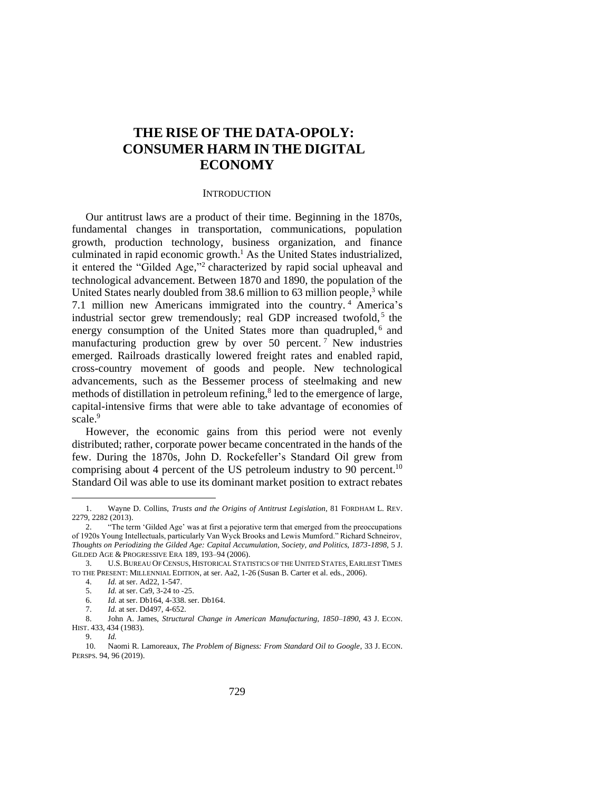# **THE RISE OF THE DATA-OPOLY: CONSUMER HARM IN THE DIGITAL ECONOMY**

## **INTRODUCTION**

Our antitrust laws are a product of their time. Beginning in the 1870s, fundamental changes in transportation, communications, population growth, production technology, business organization, and finance culminated in rapid economic growth. <sup>1</sup> As the United States industrialized, it entered the "Gilded Age," 2 characterized by rapid social upheaval and technological advancement. Between 1870 and 1890, the population of the United States nearly doubled from 38.6 million to 63 million people,<sup>3</sup> while 7.1 million new Americans immigrated into the country. <sup>4</sup> America's industrial sector grew tremendously; real GDP increased twofold,<sup>5</sup> the energy consumption of the United States more than quadrupled,<sup>6</sup> and manufacturing production grew by over 50 percent.<sup>7</sup> New industries emerged. Railroads drastically lowered freight rates and enabled rapid, cross-country movement of goods and people. New technological advancements, such as the Bessemer process of steelmaking and new methods of distillation in petroleum refining, 8 led to the emergence of large, capital-intensive firms that were able to take advantage of economies of scale.<sup>9</sup>

However, the economic gains from this period were not evenly distributed; rather, corporate power became concentrated in the hands of the few. During the 1870s, John D. Rockefeller's Standard Oil grew from comprising about 4 percent of the US petroleum industry to 90 percent.<sup>10</sup> Standard Oil was able to use its dominant market position to extract rebates

<sup>1.</sup> Wayne D. Collins, *Trusts and the Origins of Antitrust Legislation*, 81 FORDHAM L. REV. 2279, 2282 (2013).

<sup>&</sup>quot;The term 'Gilded Age' was at first a pejorative term that emerged from the preoccupations of 1920s Young Intellectuals, particularly Van Wyck Brooks and Lewis Mumford." Richard Schneirov, *Thoughts on Periodizing the Gilded Age: Capital Accumulation, Society, and Politics, 1873-1898*, 5 J. GILDED AGE & PROGRESSIVE ERA 189, 193–94 (2006).

<sup>3.</sup> U.S.BUREAU OF CENSUS, HISTORICAL STATISTICS OF THE UNITED STATES, EARLIEST TIMES TO THE PRESENT: MILLENNIAL EDITION, at ser. Aa2, 1-26 (Susan B. Carter et al. eds., 2006).

<sup>4.</sup> *Id.* at ser. Ad22, 1-547.

<sup>5.</sup> *Id.* at ser. Ca9, 3-24 to -25.

<sup>6.</sup> *Id.* at ser. Db164, 4-338. ser. Db164.

<sup>7.</sup> *Id.* at ser. Dd497, 4-652.

<sup>8.</sup> John A. James, *Structural Change in American Manufacturing, 1850–1890*, 43 J. ECON. HIST. 433, 434 (1983).

<sup>9.</sup> *Id.*

<sup>10.</sup> Naomi R. Lamoreaux, *The Problem of Bigness: From Standard Oil to Google*, 33 J. ECON. PERSPS. 94, 96 (2019).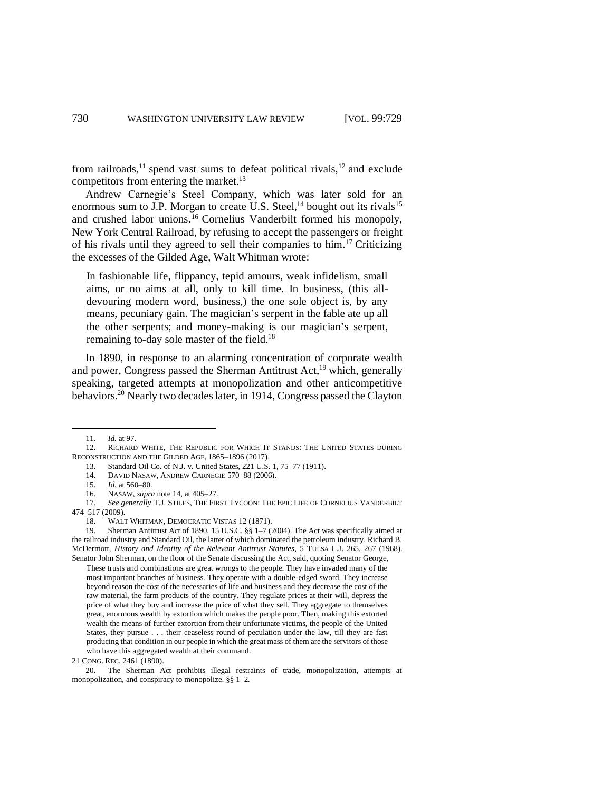from railroads,<sup>11</sup> spend vast sums to defeat political rivals,<sup>12</sup> and exclude competitors from entering the market.<sup>13</sup>

Andrew Carnegie's Steel Company, which was later sold for an enormous sum to J.P. Morgan to create U.S. Steel, $^{14}$  bought out its rivals  $^{15}$ and crushed labor unions. <sup>16</sup> Cornelius Vanderbilt formed his monopoly, New York Central Railroad, by refusing to accept the passengers or freight of his rivals until they agreed to sell their companies to him. <sup>17</sup> Criticizing the excesses of the Gilded Age, Walt Whitman wrote:

In fashionable life, flippancy, tepid amours, weak infidelism, small aims, or no aims at all, only to kill time. In business, (this alldevouring modern word, business,) the one sole object is, by any means, pecuniary gain. The magician's serpent in the fable ate up all the other serpents; and money-making is our magician's serpent, remaining to-day sole master of the field.<sup>18</sup>

In 1890, in response to an alarming concentration of corporate wealth and power, Congress passed the Sherman Antitrust Act,<sup>19</sup> which, generally speaking, targeted attempts at monopolization and other anticompetitive behaviors. <sup>20</sup> Nearly two decades later, in 1914, Congress passed the Clayton

20. The Sherman Act prohibits illegal restraints of trade, monopolization, attempts at monopolization, and conspiracy to monopolize. §§ 1–2*.*

<sup>11.</sup> *Id.* at 97.

<sup>12.</sup> RICHARD WHITE, THE REPUBLIC FOR WHICH IT STANDS: THE UNITED STATES DURING RECONSTRUCTION AND THE GILDED AGE, 1865–1896 (2017).

<sup>13.</sup> Standard Oil Co. of N.J. v. United States, 221 U.S. 1, 75–77 (1911).

<sup>14.</sup> DAVID NASAW, ANDREW CARNEGIE 570–88 (2006).

<sup>15.</sup> *Id.* at 560–80.

<sup>16.</sup> NASAW, *supra* note 14, at 405–27.

<sup>17.</sup> *See generally* T.J. STILES, THE FIRST TYCOON: THE EPIC LIFE OF CORNELIUS VANDERBILT 474–517 (2009).

<sup>18.</sup> WALT WHITMAN, DEMOCRATIC VISTAS 12 (1871).

<sup>19.</sup> Sherman Antitrust Act of 1890, 15 U.S.C. §§ 1–7 (2004). The Act was specifically aimed at the railroad industry and Standard Oil, the latter of which dominated the petroleum industry. Richard B. McDermott, *History and Identity of the Relevant Antitrust Statutes*, 5 TULSA L.J. 265, 267 (1968). Senator John Sherman, on the floor of the Senate discussing the Act, said, quoting Senator George,

These trusts and combinations are great wrongs to the people. They have invaded many of the most important branches of business. They operate with a double-edged sword. They increase beyond reason the cost of the necessaries of life and business and they decrease the cost of the raw material, the farm products of the country. They regulate prices at their will, depress the price of what they buy and increase the price of what they sell. They aggregate to themselves great, enormous wealth by extortion which makes the people poor. Then, making this extorted wealth the means of further extortion from their unfortunate victims, the people of the United States, they pursue . . . their ceaseless round of peculation under the law, till they are fast producing that condition in our people in which the great mass of them are the servitors of those who have this aggregated wealth at their command.

<sup>21</sup> CONG. REC. 2461 (1890).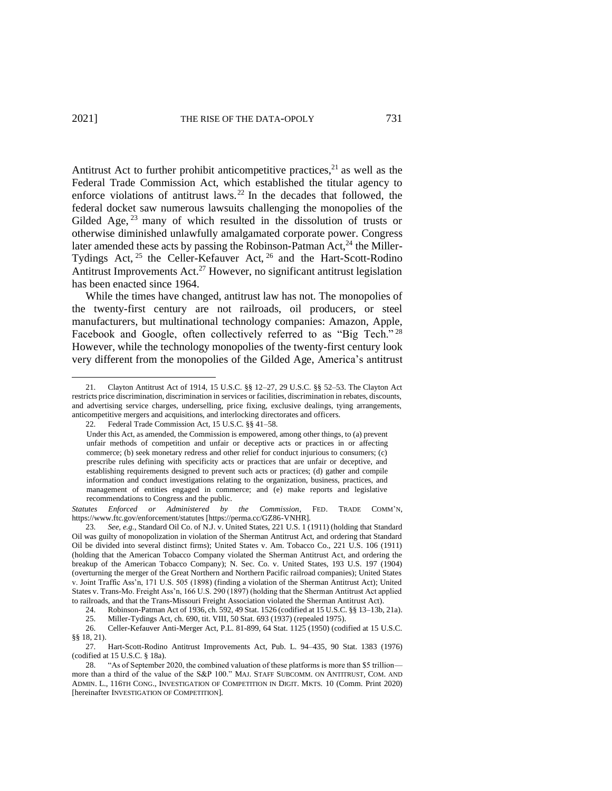Antitrust Act to further prohibit anticompetitive practices,<sup>21</sup> as well as the Federal Trade Commission Act, which established the titular agency to enforce violations of antitrust laws. <sup>22</sup> In the decades that followed, the federal docket saw numerous lawsuits challenging the monopolies of the Gilded Age,  $^{23}$  many of which resulted in the dissolution of trusts or otherwise diminished unlawfully amalgamated corporate power. Congress later amended these acts by passing the Robinson-Patman  $Act<sub>1</sub><sup>24</sup>$  the Miller-Tydings Act, <sup>25</sup> the Celler-Kefauver Act, <sup>26</sup> and the Hart-Scott-Rodino Antitrust Improvements Act.<sup>27</sup> However, no significant antitrust legislation has been enacted since 1964.

While the times have changed, antitrust law has not. The monopolies of the twenty-first century are not railroads, oil producers, or steel manufacturers, but multinational technology companies: Amazon, Apple, Facebook and Google, often collectively referred to as "Big Tech."<sup>28</sup> However, while the technology monopolies of the twenty-first century look very different from the monopolies of the Gilded Age, America's antitrust

<sup>21.</sup> Clayton Antitrust Act of 1914, 15 U.S.C. §§ 12–27, 29 U.S.C. §§ 52–53. The Clayton Act restricts price discrimination, discrimination in services or facilities, discrimination in rebates, discounts, and advertising service charges, underselling, price fixing, exclusive dealings, tying arrangements, anticompetitive mergers and acquisitions, and interlocking directorates and officers.

<sup>22.</sup> Federal Trade Commission Act, 15 U.S.C. §§ 41–58.

Under this Act, as amended, the Commission is empowered, among other things, to (a) prevent unfair methods of competition and unfair or deceptive acts or practices in or affecting commerce; (b) seek monetary redress and other relief for conduct injurious to consumers; (c) prescribe rules defining with specificity acts or practices that are unfair or deceptive, and establishing requirements designed to prevent such acts or practices; (d) gather and compile information and conduct investigations relating to the organization, business, practices, and management of entities engaged in commerce; and (e) make reports and legislative recommendations to Congress and the public.

*Statutes Enforced or Administered by the Commission*, FED. TRADE COMM'N, https://www.ftc.gov/enforcement/statutes [https://perma.cc/GZ86-VNHR].

<sup>23.</sup> *See, e.g.*, Standard Oil Co. of N.J. v. United States, 221 U.S. 1 (1911) (holding that Standard Oil was guilty of monopolization in violation of the Sherman Antitrust Act, and ordering that Standard Oil be divided into several distinct firms); United States v. Am. Tobacco Co., 221 U.S. 106 (1911) (holding that the American Tobacco Company violated the Sherman Antitrust Act, and ordering the breakup of the American Tobacco Company); N. Sec. Co. v. United States, 193 U.S. 197 (1904) (overturning the merger of the Great Northern and Northern Pacific railroad companies); United States v. Joint Traffic Ass'n, 171 U.S. 505 (1898) (finding a violation of the Sherman Antitrust Act); United States v. Trans-Mo. Freight Ass'n, 166 U.S. 290 (1897) (holding that the Sherman Antitrust Act applied to railroads, and that the Trans-Missouri Freight Association violated the Sherman Antitrust Act).

<sup>24.</sup> Robinson-Patman Act of 1936, ch. 592, 49 Stat. 1526 (codified at 15 U.S.C. §§ 13–13b, 21a). 25. Miller-Tydings Act, ch. 690, tit. VIII, 50 Stat. 693 (1937) (repealed 1975).

<sup>25.</sup> Miller-Tydings Act, ch. 690, tit. VIII, 50 Stat. 693 (1937) (repealed 1975).

<sup>26.</sup> Celler-Kefauver Anti-Merger Act, P.L. 81-899, 64 Stat. 1125 (1950) (codified at 15 U.S.C. §§ 18, 21).

<sup>27.</sup> Hart-Scott-Rodino Antitrust Improvements Act, Pub. L. 94–435, 90 Stat. 1383 (1976) (codified at 15 U.S.C. § 18a).

<sup>28.</sup> "As of September 2020, the combined valuation of these platforms is more than \$5 trillion more than a third of the value of the S&P 100." MAJ. STAFF SUBCOMM. ON ANTITRUST, COM. AND ADMIN. L., 116TH CONG., INVESTIGATION OF COMPETITION IN DIGIT. MKTS. 10 (Comm. Print 2020) [hereinafter INVESTIGATION OF COMPETITION].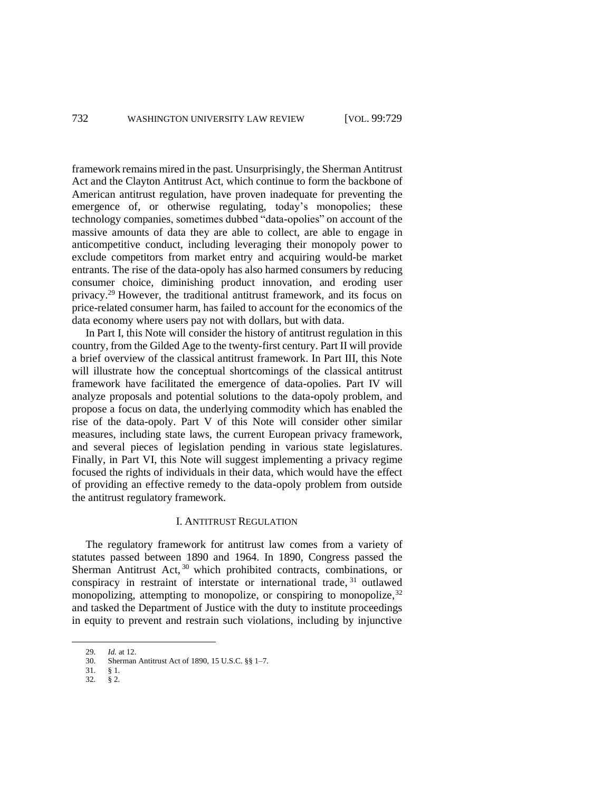framework remains mired in the past. Unsurprisingly, the Sherman Antitrust Act and the Clayton Antitrust Act, which continue to form the backbone of American antitrust regulation, have proven inadequate for preventing the emergence of, or otherwise regulating, today's monopolies; these technology companies, sometimes dubbed "data-opolies" on account of the massive amounts of data they are able to collect, are able to engage in anticompetitive conduct, including leveraging their monopoly power to exclude competitors from market entry and acquiring would-be market entrants. The rise of the data-opoly has also harmed consumers by reducing consumer choice, diminishing product innovation, and eroding user privacy. <sup>29</sup> However, the traditional antitrust framework, and its focus on price-related consumer harm, has failed to account for the economics of the data economy where users pay not with dollars, but with data.

In Part I, this Note will consider the history of antitrust regulation in this country, from the Gilded Age to the twenty-first century. Part II will provide a brief overview of the classical antitrust framework. In Part III, this Note will illustrate how the conceptual shortcomings of the classical antitrust framework have facilitated the emergence of data-opolies. Part IV will analyze proposals and potential solutions to the data-opoly problem, and propose a focus on data, the underlying commodity which has enabled the rise of the data-opoly. Part V of this Note will consider other similar measures, including state laws, the current European privacy framework, and several pieces of legislation pending in various state legislatures. Finally, in Part VI, this Note will suggest implementing a privacy regime focused the rights of individuals in their data, which would have the effect of providing an effective remedy to the data-opoly problem from outside the antitrust regulatory framework.

## I. ANTITRUST REGULATION

The regulatory framework for antitrust law comes from a variety of statutes passed between 1890 and 1964. In 1890, Congress passed the Sherman Antitrust Act,<sup>30</sup> which prohibited contracts, combinations, or conspiracy in restraint of interstate or international trade, <sup>31</sup> outlawed monopolizing, attempting to monopolize, or conspiring to monopolize, 32 and tasked the Department of Justice with the duty to institute proceedings in equity to prevent and restrain such violations, including by injunctive

<sup>29.</sup> *Id.* at 12.

<sup>30.</sup> Sherman Antitrust Act of 1890, 15 U.S.C. §§ 1–7.

<sup>31.</sup> § 1.

<sup>32.</sup> § 2.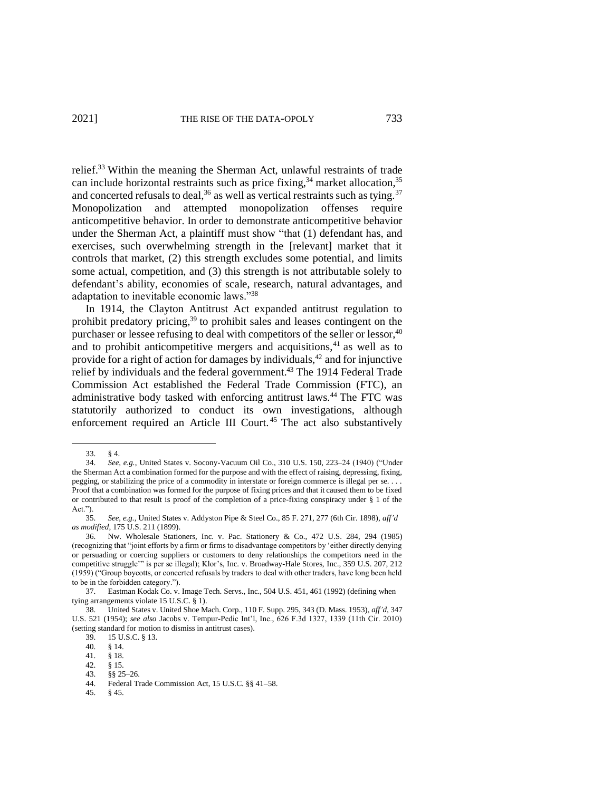relief.<sup>33</sup> Within the meaning the Sherman Act, unlawful restraints of trade can include horizontal restraints such as price fixing,<sup>34</sup> market allocation,<sup>35</sup> and concerted refusals to deal,  $36$  as well as vertical restraints such as tying.  $37$ Monopolization and attempted monopolization offenses require anticompetitive behavior. In order to demonstrate anticompetitive behavior under the Sherman Act, a plaintiff must show "that (1) defendant has, and exercises, such overwhelming strength in the [relevant] market that it controls that market, (2) this strength excludes some potential, and limits some actual, competition, and (3) this strength is not attributable solely to defendant's ability, economies of scale, research, natural advantages, and adaptation to inevitable economic laws."<sup>38</sup>

In 1914, the Clayton Antitrust Act expanded antitrust regulation to prohibit predatory pricing, <sup>39</sup> to prohibit sales and leases contingent on the purchaser or lessee refusing to deal with competitors of the seller or lessor,<sup>40</sup> and to prohibit anticompetitive mergers and acquisitions,<sup>41</sup> as well as to provide for a right of action for damages by individuals, <sup>42</sup> and for injunctive relief by individuals and the federal government.<sup>43</sup> The 1914 Federal Trade Commission Act established the Federal Trade Commission (FTC), an administrative body tasked with enforcing antitrust laws.<sup>44</sup> The FTC was statutorily authorized to conduct its own investigations, although enforcement required an Article III Court.<sup>45</sup> The act also substantively

<sup>33.</sup> § 4.

<sup>34.</sup> *See, e.g.*, United States v. Socony-Vacuum Oil Co., 310 U.S. 150, 223–24 (1940) ("Under the Sherman Act a combination formed for the purpose and with the effect of raising, depressing, fixing, pegging, or stabilizing the price of a commodity in interstate or foreign commerce is illegal per se. . . . Proof that a combination was formed for the purpose of fixing prices and that it caused them to be fixed or contributed to that result is proof of the completion of a price-fixing conspiracy under § 1 of the Act.").

<sup>35.</sup> *See*, *e.g.*, United States v. Addyston Pipe & Steel Co., 85 F. 271, 277 (6th Cir. 1898), *aff'd as modified*, 175 U.S. 211 (1899).

<sup>36.</sup> Nw. Wholesale Stationers, Inc. v. Pac. Stationery & Co., 472 U.S. 284, 294 (1985) (recognizing that "joint efforts by a firm or firms to disadvantage competitors by 'either directly denying or persuading or coercing suppliers or customers to deny relationships the competitors need in the competitive struggle'" is per se illegal); Klor's, Inc. v. Broadway-Hale Stores, Inc., 359 U.S. 207, 212 (1959) ("Group boycotts, or concerted refusals by traders to deal with other traders, have long been held to be in the forbidden category.").

<sup>37.</sup> Eastman Kodak Co. v. Image Tech. Servs., Inc., 504 U.S. 451, 461 (1992) (defining when tying arrangements violate 15 U.S.C. § 1).

<sup>38.</sup> United States v. United Shoe Mach. Corp., 110 F. Supp. 295, 343 (D. Mass. 1953), *aff'd*, 347 U.S. 521 (1954); *see also* Jacobs v. Tempur-Pedic Int'l, Inc., 626 F.3d 1327, 1339 (11th Cir. 2010) (setting standard for motion to dismiss in antitrust cases).

<sup>39.</sup> 15 U.S.C. § 13.

<sup>40.</sup> § 14.

<sup>41. § 18.&</sup>lt;br>42. § 15.

 $§ 15.$ 

<sup>43.</sup> §§ 25–26.

<sup>44.</sup> Federal Trade Commission Act, 15 U.S.C. §§ 41–58.

<sup>45.</sup> § 45.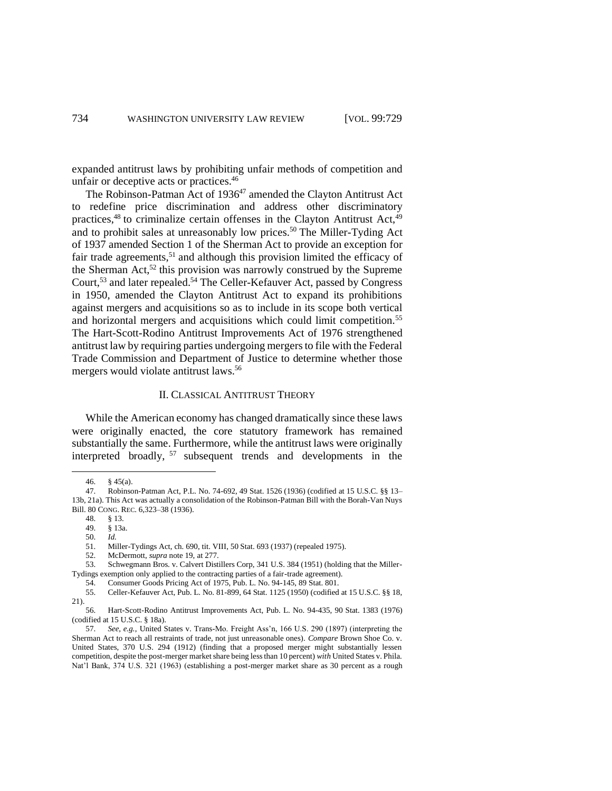expanded antitrust laws by prohibiting unfair methods of competition and unfair or deceptive acts or practices. 46

The Robinson-Patman Act of 1936<sup>47</sup> amended the Clayton Antitrust Act to redefine price discrimination and address other discriminatory practices,<sup>48</sup> to criminalize certain offenses in the Clayton Antitrust Act,<sup>49</sup> and to prohibit sales at unreasonably low prices.<sup>50</sup> The Miller-Tyding Act of 1937 amended Section 1 of the Sherman Act to provide an exception for fair trade agreements,<sup>51</sup> and although this provision limited the efficacy of the Sherman Act,  $52$  this provision was narrowly construed by the Supreme Court,<sup>53</sup> and later repealed.<sup>54</sup> The Celler-Kefauver Act, passed by Congress in 1950, amended the Clayton Antitrust Act to expand its prohibitions against mergers and acquisitions so as to include in its scope both vertical and horizontal mergers and acquisitions which could limit competition.<sup>55</sup> The Hart-Scott-Rodino Antitrust Improvements Act of 1976 strengthened antitrust law by requiring parties undergoing mergers to file with the Federal Trade Commission and Department of Justice to determine whether those mergers would violate antitrust laws.<sup>56</sup>

## II. CLASSICAL ANTITRUST THEORY

While the American economy has changed dramatically since these laws were originally enacted, the core statutory framework has remained substantially the same. Furthermore, while the antitrust laws were originally interpreted broadly, <sup>57</sup> subsequent trends and developments in the

<sup>46.</sup> § 45(a).

<sup>47.</sup> Robinson-Patman Act, P.L. No. 74-692, 49 Stat. 1526 (1936) (codified at 15 U.S.C. §§ 13– 13b, 21a). This Act was actually a consolidation of the Robinson-Patman Bill with the Borah-Van Nuys Bill. 80 CONG. REC. 6,323–38 (1936).

<sup>48.</sup> § 13.

<sup>49.</sup> § 13a.

<sup>50.</sup> *Id.*

<sup>51.</sup> Miller-Tydings Act, ch. 690, tit. VIII, 50 Stat. 693 (1937) (repealed 1975).

<sup>52.</sup> McDermott, *supra* note 19, at 277.

<sup>53.</sup> Schwegmann Bros. v. Calvert Distillers Corp, 341 U.S. 384 (1951) (holding that the Miller-Tydings exemption only applied to the contracting parties of a fair-trade agreement).

<sup>54.</sup> Consumer Goods Pricing Act of 1975, Pub. L. No. 94-145, 89 Stat. 801.

<sup>55.</sup> Celler-Kefauver Act, Pub. L. No. 81-899, 64 Stat. 1125 (1950) (codified at 15 U.S.C. §§ 18, 21).

<sup>56.</sup> Hart-Scott-Rodino Antitrust Improvements Act, Pub. L. No. 94-435, 90 Stat. 1383 (1976) (codified at 15 U.S.C. § 18a).

<sup>57.</sup> *See, e.g.*, United States v. Trans-Mo. Freight Ass'n, 166 U.S. 290 (1897) (interpreting the Sherman Act to reach all restraints of trade, not just unreasonable ones). *Compare* Brown Shoe Co. v. United States, 370 U.S. 294 (1912) (finding that a proposed merger might substantially lessen competition, despite the post-merger market share being less than 10 percent) *with* United States v. Phila. Nat'l Bank, 374 U.S. 321 (1963) (establishing a post-merger market share as 30 percent as a rough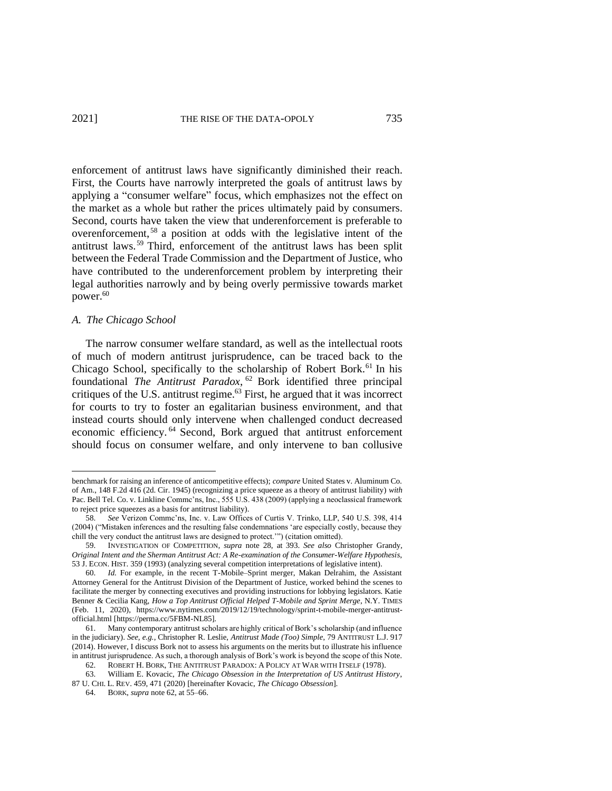enforcement of antitrust laws have significantly diminished their reach. First, the Courts have narrowly interpreted the goals of antitrust laws by applying a "consumer welfare" focus, which emphasizes not the effect on the market as a whole but rather the prices ultimately paid by consumers. Second, courts have taken the view that underenforcement is preferable to overenforcement, <sup>58</sup> a position at odds with the legislative intent of the antitrust laws.<sup>59</sup> Third, enforcement of the antitrust laws has been split between the Federal Trade Commission and the Department of Justice, who have contributed to the underenforcement problem by interpreting their legal authorities narrowly and by being overly permissive towards market power.<sup>60</sup>

### *A. The Chicago School*

The narrow consumer welfare standard, as well as the intellectual roots of much of modern antitrust jurisprudence, can be traced back to the Chicago School, specifically to the scholarship of Robert Bork.<sup>61</sup> In his foundational *The Antitrust Paradox*, <sup>62</sup> Bork identified three principal critiques of the U.S. antitrust regime.<sup>63</sup> First, he argued that it was incorrect for courts to try to foster an egalitarian business environment, and that instead courts should only intervene when challenged conduct decreased economic efficiency. <sup>64</sup> Second, Bork argued that antitrust enforcement should focus on consumer welfare, and only intervene to ban collusive

benchmark for raising an inference of anticompetitive effects); *compare* United States v. Aluminum Co. of Am., 148 F.2d 416 (2d. Cir. 1945) (recognizing a price squeeze as a theory of antitrust liability) *with* Pac. Bell Tel. Co. v. Linkline Commc'ns, Inc., 555 U.S. 438 (2009) (applying a neoclassical framework to reject price squeezes as a basis for antitrust liability).

<sup>58.</sup> *See* Verizon Commc'ns, Inc. v. Law Offices of Curtis V. Trinko, LLP, 540 U.S. 398, 414 (2004) ("Mistaken inferences and the resulting false condemnations 'are especially costly, because they chill the very conduct the antitrust laws are designed to protect.'") (citation omitted).

<sup>59.</sup> INVESTIGATION OF COMPETITION, *supra* note 28, at 393. *See also* Christopher Grandy, *Original Intent and the Sherman Antitrust Act: A Re-examination of the Consumer-Welfare Hypothesis*, 53 J. ECON. HIST. 359 (1993) (analyzing several competition interpretations of legislative intent).

<sup>60.</sup> *Id.* For example, in the recent T-Mobile–Sprint merger, Makan Delrahim, the Assistant Attorney General for the Antitrust Division of the Department of Justice, worked behind the scenes to facilitate the merger by connecting executives and providing instructions for lobbying legislators. Katie Benner & Cecilia Kang, *How a Top Antitrust Official Helped T-Mobile and Sprint Merge*, N.Y. TIMES (Feb. 11, 2020), https://www.nytimes.com/2019/12/19/technology/sprint-t-mobile-merger-antitrustofficial.html [https://perma.cc/5FBM-NL85].

<sup>61.</sup> Many contemporary antitrust scholars are highly critical of Bork's scholarship (and influence in the judiciary). *See, e.g.*, Christopher R. Leslie, *Antitrust Made (Too) Simple*, 79 ANTITRUST L.J. 917 (2014). However, I discuss Bork not to assess his arguments on the merits but to illustrate his influence in antitrust jurisprudence. As such, a thorough analysis of Bork's work is beyond the scope of this Note.

<sup>62.</sup> ROBERT H. BORK, THE ANTITRUST PARADOX: A POLICY AT WAR WITH ITSELF (1978).

<sup>63.</sup> William E. Kovacic, *The Chicago Obsession in the Interpretation of US Antitrust History*, 87 U. CHI. L. REV. 459, 471 (2020) [hereinafter Kovacic, *The Chicago Obsession*].

<sup>64.</sup> BORK, *supra* note 62, at 55–66.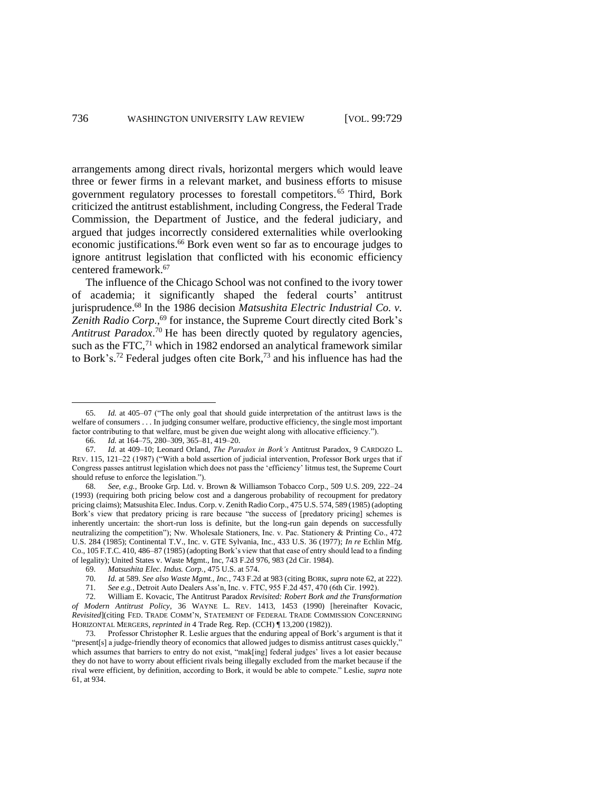arrangements among direct rivals, horizontal mergers which would leave three or fewer firms in a relevant market, and business efforts to misuse government regulatory processes to forestall competitors. <sup>65</sup> Third, Bork criticized the antitrust establishment, including Congress, the Federal Trade Commission, the Department of Justice, and the federal judiciary, and argued that judges incorrectly considered externalities while overlooking economic justifications. <sup>66</sup> Bork even went so far as to encourage judges to ignore antitrust legislation that conflicted with his economic efficiency centered framework.<sup>67</sup>

The influence of the Chicago School was not confined to the ivory tower of academia; it significantly shaped the federal courts' antitrust jurisprudence. <sup>68</sup> In the 1986 decision *Matsushita Electric Industrial Co. v.*  Zenith Radio Corp.,<sup>69</sup> for instance, the Supreme Court directly cited Bork's *Antitrust Paradox*. <sup>70</sup> He has been directly quoted by regulatory agencies, such as the FTC, $71$  which in 1982 endorsed an analytical framework similar to Bork's. <sup>72</sup> Federal judges often cite Bork, <sup>73</sup> and his influence has had the

<sup>65.</sup> *Id.* at 405–07 ("The only goal that should guide interpretation of the antitrust laws is the welfare of consumers . . . In judging consumer welfare, productive efficiency, the single most important factor contributing to that welfare, must be given due weight along with allocative efficiency.").

<sup>66.</sup> *Id.* at 164–75, 280–309, 365–81, 419–20.

<sup>67.</sup> *Id.* at 409–10; Leonard Orland, *The Paradox in Bork's* Antitrust Paradox, 9 CARDOZO L. REV. 115, 121–22 (1987) ("With a bold assertion of judicial intervention, Professor Bork urges that if Congress passes antitrust legislation which does not pass the 'efficiency' litmus test, the Supreme Court should refuse to enforce the legislation.").

<sup>68.</sup> *See, e.g.*, Brooke Grp. Ltd. v. Brown & Williamson Tobacco Corp., 509 U.S. 209, 222–24 (1993) (requiring both pricing below cost and a dangerous probability of recoupment for predatory pricing claims); Matsushita Elec. Indus. Corp. v. Zenith Radio Corp., 475 U.S. 574, 589 (1985) (adopting Bork's view that predatory pricing is rare because "the success of [predatory pricing] schemes is inherently uncertain: the short-run loss is definite, but the long-run gain depends on successfully neutralizing the competition"); Nw. Wholesale Stationers, Inc. v. Pac. Stationery & Printing Co., 472 U.S. 284 (1985); Continental T.V., Inc. v. GTE Sylvania, Inc., 433 U.S. 36 (1977); *In re* Echlin Mfg. Co., 105 F.T.C. 410, 486–87 (1985) (adopting Bork's view that that ease of entry should lead to a finding of legality); United States v. Waste Mgmt., Inc, 743 F.2d 976, 983 (2d Cir. 1984).

<sup>69.</sup> *Matsushita Elec. Indus. Corp.*, 475 U.S. at 574.

<sup>70.</sup> *Id.* at 589. *See also Waste Mgmt., Inc.*, 743 F.2d at 983 (citing BORK, *supra* note 62, at 222)*.*

<sup>71.</sup> *See e.g.*, Detroit Auto Dealers Ass'n, Inc. v. FTC, 955 F.2d 457, 470 (6th Cir. 1992).

<sup>72.</sup> William E. Kovacic, The Antitrust Paradox *Revisited: Robert Bork and the Transformation of Modern Antitrust Policy*, 36 WAYNE L. REV. 1413, 1453 (1990) [hereinafter Kovacic, *Revisited*](citing FED. TRADE COMM'N, STATEMENT OF FEDERAL TRADE COMMISSION CONCERNING HORIZONTAL MERGERS, *reprinted in* 4 Trade Reg. Rep. (CCH) ¶ 13,200 (1982)).

<sup>73.</sup> Professor Christopher R. Leslie argues that the enduring appeal of Bork's argument is that it "present[s] a judge-friendly theory of economics that allowed judges to dismiss antitrust cases quickly," which assumes that barriers to entry do not exist, "mak[ing] federal judges' lives a lot easier because they do not have to worry about efficient rivals being illegally excluded from the market because if the rival were efficient, by definition, according to Bork, it would be able to compete." Leslie, *supra* note 61, at 934.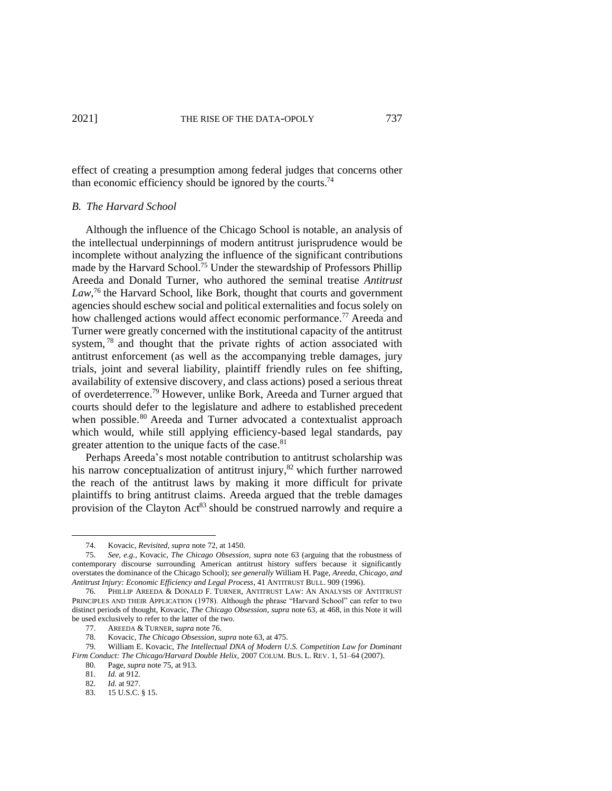effect of creating a presumption among federal judges that concerns other than economic efficiency should be ignored by the courts.<sup>74</sup>

## *B. The Harvard School*

Although the influence of the Chicago School is notable, an analysis of the intellectual underpinnings of modern antitrust jurisprudence would be incomplete without analyzing the influence of the significant contributions made by the Harvard School.<sup>75</sup> Under the stewardship of Professors Phillip Areeda and Donald Turner, who authored the seminal treatise *Antitrust*  Law,<sup>76</sup> the Harvard School, like Bork, thought that courts and government agencies should eschew social and political externalities and focus solely on how challenged actions would affect economic performance.<sup>77</sup> Areeda and Turner were greatly concerned with the institutional capacity of the antitrust system, <sup>78</sup> and thought that the private rights of action associated with antitrust enforcement (as well as the accompanying treble damages, jury trials, joint and several liability, plaintiff friendly rules on fee shifting, availability of extensive discovery, and class actions) posed a serious threat of overdeterrence.<sup>79</sup> However, unlike Bork, Areeda and Turner argued that courts should defer to the legislature and adhere to established precedent when possible.<sup>80</sup> Areeda and Turner advocated a contextualist approach which would, while still applying efficiency-based legal standards, pay greater attention to the unique facts of the case.<sup>81</sup>

Perhaps Areeda's most notable contribution to antitrust scholarship was his narrow conceptualization of antitrust injury, $82$  which further narrowed the reach of the antitrust laws by making it more difficult for private plaintiffs to bring antitrust claims. Areeda argued that the treble damages provision of the Clayton  $Act^{83}$  should be construed narrowly and require a

<sup>74.</sup> Kovacic, *Revisited*, *supra* note 72, at 1450.

<sup>75.</sup> *See, e.g.*, Kovacic, *The Chicago Obsession*, *supra* note 63 (arguing that the robustness of contemporary discourse surrounding American antitrust history suffers because it significantly overstates the dominance of the Chicago School); *see generally* William H. Page, *Areeda, Chicago, and Antitrust Injury: Economic Efficiency and Legal Process*, 41 ANTITRUST BULL. 909 (1996).

<sup>76.</sup> PHILLIP AREEDA & DONALD F. TURNER, ANTITRUST LAW: AN ANALYSIS OF ANTITRUST PRINCIPLES AND THEIR APPLICATION (1978). Although the phrase "Harvard School" can refer to two distinct periods of thought, Kovacic, *The Chicago Obsession*, *supra* note 63, at 468, in this Note it will be used exclusively to refer to the latter of the two.

<sup>77.</sup> AREEDA & TURNER, *supra* note 76.

<sup>78.</sup> Kovacic, *The Chicago Obsession*, *supra* note 63, at 475.

<sup>79.</sup> William E. Kovacic, *The Intellectual DNA of Modern U.S. Competition Law for Dominant Firm Conduct: The Chicago/Harvard Double Helix*, 2007 COLUM. BUS. L. REV. 1, 51–64 (2007).

<sup>80.</sup> Page, *supra* note 75, at 913.

<sup>81.</sup> *Id.* at 912.

<sup>82.</sup> *Id.* at 927.

<sup>83.</sup> 15 U.S.C. § 15.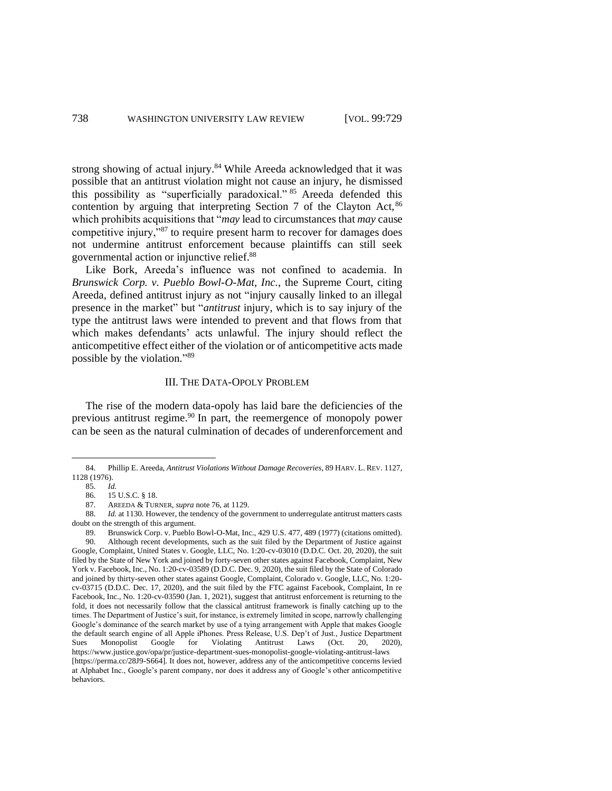strong showing of actual injury.<sup>84</sup> While Areeda acknowledged that it was possible that an antitrust violation might not cause an injury, he dismissed this possibility as "superficially paradoxical." <sup>85</sup> Areeda defended this contention by arguing that interpreting Section 7 of the Clayton Act, <sup>86</sup> which prohibits acquisitions that "*may* lead to circumstances that *may* cause competitive injury,<sup>387</sup> to require present harm to recover for damages does not undermine antitrust enforcement because plaintiffs can still seek governmental action or injunctive relief.<sup>88</sup>

Like Bork, Areeda's influence was not confined to academia. In *Brunswick Corp. v. Pueblo Bowl-O-Mat, Inc.*, the Supreme Court, citing Areeda, defined antitrust injury as not "injury causally linked to an illegal presence in the market" but "*antitrust* injury, which is to say injury of the type the antitrust laws were intended to prevent and that flows from that which makes defendants' acts unlawful. The injury should reflect the anticompetitive effect either of the violation or of anticompetitive acts made possible by the violation."<sup>89</sup>

#### III. THE DATA-OPOLY PROBLEM

The rise of the modern data-opoly has laid bare the deficiencies of the previous antitrust regime.<sup>90</sup> In part, the reemergence of monopoly power can be seen as the natural culmination of decades of underenforcement and

<sup>84.</sup> Phillip E. Areeda, *Antitrust Violations Without Damage Recoveries*, 89 HARV. L. REV. 1127, 1128 (1976).

<sup>85.</sup> *Id.*

<sup>86.</sup> 15 U.S.C. § 18.

<sup>87.</sup> AREEDA & TURNER, *supra* note 76, at 1129.

<sup>88.</sup> *Id.* at 1130. However, the tendency of the government to underregulate antitrust matters casts doubt on the strength of this argument.

<sup>89.</sup> Brunswick Corp. v. Pueblo Bowl-O-Mat, Inc., 429 U.S. 477, 489 (1977) (citations omitted). 90. Although recent developments, such as the suit filed by the Department of Justice against Google, Complaint, United States v. Google, LLC, No. 1:20-cv-03010 (D.D.C. Oct. 20, 2020), the suit filed by the State of New York and joined by forty-seven other states against Facebook, Complaint, New York v. Facebook, Inc., No. 1:20-cv-03589 (D.D.C. Dec. 9, 2020), the suit filed by the State of Colorado and joined by thirty-seven other states against Google, Complaint, Colorado v. Google, LLC, No. 1:20 cv-03715 (D.D.C. Dec. 17, 2020), and the suit filed by the FTC against Facebook, Complaint, In re Facebook, Inc., No. 1:20-cv-03590 (Jan. 1, 2021), suggest that antitrust enforcement is returning to the fold, it does not necessarily follow that the classical antitrust framework is finally catching up to the times. The Department of Justice's suit, for instance, is extremely limited in scope, narrowly challenging Google's dominance of the search market by use of a tying arrangement with Apple that makes Google the default search engine of all Apple iPhones. Press Release, U.S. Dep't of Just., Justice Department Sues Monopolist Google for Violating Antitrust Laws (Oct. 20, 2020), https://www.justice.gov/opa/pr/justice-department-sues-monopolist-google-violating-antitrust-laws [https://perma.cc/28J9-S664]. It does not, however, address any of the anticompetitive concerns levied at Alphabet Inc., Google's parent company, nor does it address any of Google's other anticompetitive behaviors.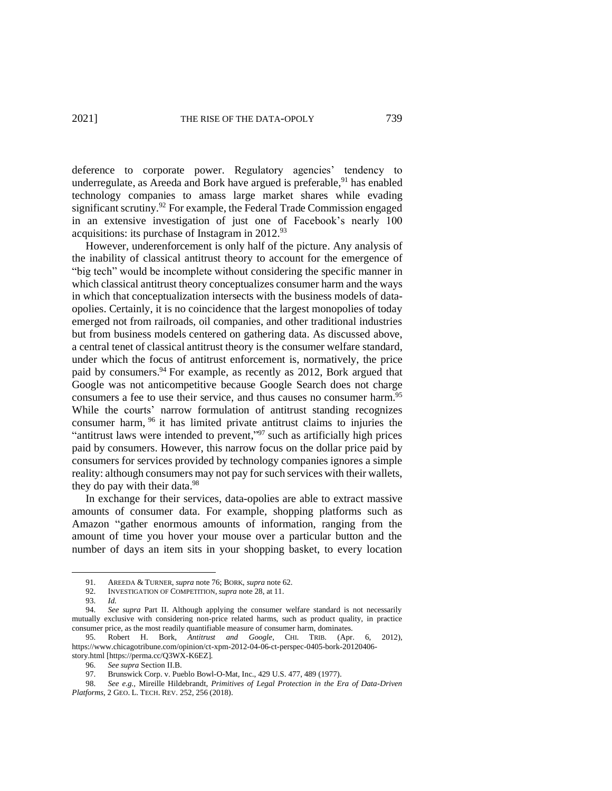deference to corporate power. Regulatory agencies' tendency to underregulate, as Areeda and Bork have argued is preferable, <sup>91</sup> has enabled technology companies to amass large market shares while evading significant scrutiny.<sup>92</sup> For example, the Federal Trade Commission engaged in an extensive investigation of just one of Facebook's nearly 100 acquisitions: its purchase of Instagram in 2012.<sup>93</sup>

However, underenforcement is only half of the picture. Any analysis of the inability of classical antitrust theory to account for the emergence of "big tech" would be incomplete without considering the specific manner in which classical antitrust theory conceptualizes consumer harm and the ways in which that conceptualization intersects with the business models of dataopolies. Certainly, it is no coincidence that the largest monopolies of today emerged not from railroads, oil companies, and other traditional industries but from business models centered on gathering data. As discussed above, a central tenet of classical antitrust theory is the consumer welfare standard, under which the focus of antitrust enforcement is, normatively, the price paid by consumers.<sup>94</sup> For example, as recently as 2012, Bork argued that Google was not anticompetitive because Google Search does not charge consumers a fee to use their service, and thus causes no consumer harm.<sup>95</sup> While the courts' narrow formulation of antitrust standing recognizes consumer harm, <sup>96</sup> it has limited private antitrust claims to injuries the "antitrust laws were intended to prevent,"<sup>97</sup> such as artificially high prices paid by consumers. However, this narrow focus on the dollar price paid by consumers for services provided by technology companies ignores a simple reality: although consumers may not pay for such services with their wallets, they do pay with their data.<sup>98</sup>

In exchange for their services, data-opolies are able to extract massive amounts of consumer data. For example, shopping platforms such as Amazon "gather enormous amounts of information, ranging from the amount of time you hover your mouse over a particular button and the number of days an item sits in your shopping basket, to every location

<sup>91.</sup> AREEDA & TURNER, *supra* note 76; BORK, *supra* note 62.

<sup>92.</sup> INVESTIGATION OF COMPETITION, *supra* note 28, at 11.

<sup>93.</sup> *Id.*

<sup>94.</sup> *See supra* Part II. Although applying the consumer welfare standard is not necessarily mutually exclusive with considering non-price related harms, such as product quality, in practice consumer price, as the most readily quantifiable measure of consumer harm, dominates.

<sup>95.</sup> Robert H. Bork, *Antitrust and Google*, CHI. TRIB. (Apr. 6, 2012), https://www.chicagotribune.com/opinion/ct-xpm-2012-04-06-ct-perspec-0405-bork-20120406 story.html [https://perma.cc/Q3WX-K6EZ].

<sup>96.</sup> *See supra* Section II.B.

<sup>97.</sup> Brunswick Corp. v. Pueblo Bowl-O-Mat, Inc., 429 U.S. 477, 489 (1977).

<sup>98.</sup> *See e.g.,* Mireille Hildebrandt, *Primitives of Legal Protection in the Era of Data-Driven Platforms*, 2 GEO. L. TECH. REV. 252, 256 (2018).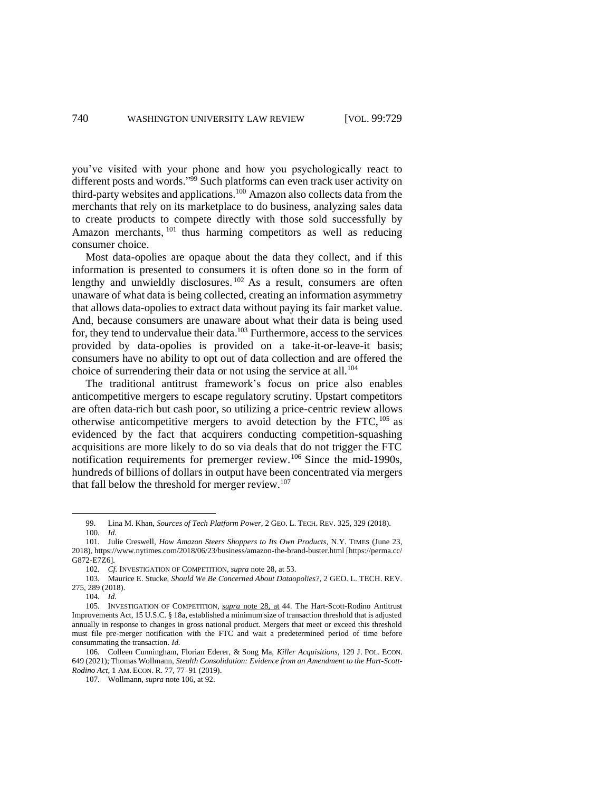you've visited with your phone and how you psychologically react to different posts and words." <sup>99</sup> Such platforms can even track user activity on third-party websites and applications.<sup>100</sup> Amazon also collects data from the merchants that rely on its marketplace to do business, analyzing sales data to create products to compete directly with those sold successfully by Amazon merchants, <sup>101</sup> thus harming competitors as well as reducing consumer choice.

Most data-opolies are opaque about the data they collect, and if this information is presented to consumers it is often done so in the form of lengthy and unwieldly disclosures.<sup>102</sup> As a result, consumers are often unaware of what data is being collected, creating an information asymmetry that allows data-opolies to extract data without paying its fair market value. And, because consumers are unaware about what their data is being used for, they tend to undervalue their data. <sup>103</sup> Furthermore, access to the services provided by data-opolies is provided on a take-it-or-leave-it basis; consumers have no ability to opt out of data collection and are offered the choice of surrendering their data or not using the service at all.<sup>104</sup>

The traditional antitrust framework's focus on price also enables anticompetitive mergers to escape regulatory scrutiny. Upstart competitors are often data-rich but cash poor, so utilizing a price-centric review allows otherwise anticompetitive mergers to avoid detection by the FTC,  $^{105}$  as evidenced by the fact that acquirers conducting competition-squashing acquisitions are more likely to do so via deals that do not trigger the FTC notification requirements for premerger review. <sup>106</sup> Since the mid-1990s, hundreds of billions of dollars in output have been concentrated via mergers that fall below the threshold for merger review.<sup>107</sup>

<sup>99.</sup> Lina M. Khan, *Sources of Tech Platform Power*, 2 GEO. L. TECH. REV. 325, 329 (2018). 100. *Id.*

<sup>101.</sup> Julie Creswell, *How Amazon Steers Shoppers to Its Own Products*, N.Y. TIMES (June 23, 2018), https://www.nytimes.com/2018/06/23/business/amazon-the-brand-buster.html [https://perma.cc/ G872-E7Z6].

<sup>102.</sup> *Cf.* INVESTIGATION OF COMPETITION, *supra* note 28, at 53.

<sup>103.</sup> Maurice E. Stucke, *Should We Be Concerned About Dataopolies?*, 2 GEO. L. TECH. REV. 275, 289 (2018).

<sup>104.</sup> *Id.*

<sup>105.</sup> INVESTIGATION OF COMPETITION, *supra* note 28, at 44. The Hart-Scott-Rodino Antitrust Improvements Act, 15 U.S.C. § 18a, established a minimum size of transaction threshold that is adjusted annually in response to changes in gross national product. Mergers that meet or exceed this threshold must file pre-merger notification with the FTC and wait a predetermined period of time before consummating the transaction. *Id.*

<sup>106.</sup> Colleen Cunningham, Florian Ederer, & Song Ma, *Killer Acquisitions*, 129 J. POL. ECON. 649 (2021); Thomas Wollmann, *Stealth Consolidation: Evidence from an Amendment to the Hart-Scott-Rodino Act*, 1 AM. ECON. R. 77, 77–91 (2019).

<sup>107.</sup> Wollmann, *supra* note 106, at 92.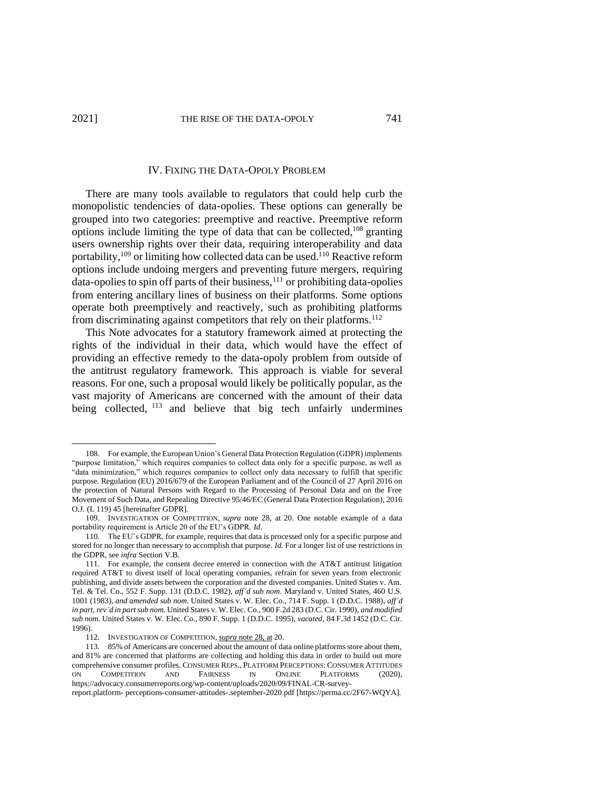#### IV. FIXING THE DATA-OPOLY PROBLEM

There are many tools available to regulators that could help curb the monopolistic tendencies of data-opolies. These options can generally be grouped into two categories: preemptive and reactive. Preemptive reform options include limiting the type of data that can be collected, <sup>108</sup> granting users ownership rights over their data, requiring interoperability and data portability, <sup>109</sup> or limiting how collected data can be used.<sup>110</sup> Reactive reform options include undoing mergers and preventing future mergers, requiring  $data$ -opolies to spin off parts of their business,  $^{111}$  or prohibiting data-opolies from entering ancillary lines of business on their platforms. Some options operate both preemptively and reactively, such as prohibiting platforms from discriminating against competitors that rely on their platforms.<sup>112</sup>

This Note advocates for a statutory framework aimed at protecting the rights of the individual in their data, which would have the effect of providing an effective remedy to the data-opoly problem from outside of the antitrust regulatory framework. This approach is viable for several reasons. For one, such a proposal would likely be politically popular, as the vast majority of Americans are concerned with the amount of their data being collected, <sup>113</sup> and believe that big tech unfairly undermines

<sup>108.</sup> For example, the European Union's General Data Protection Regulation (GDPR) implements "purpose limitation," which requires companies to collect data only for a specific purpose, as well as "data minimization," which requires companies to collect only data necessary to fulfill that specific purpose. Regulation (EU) 2016/679 of the European Parliament and of the Council of 27 April 2016 on the protection of Natural Persons with Regard to the Processing of Personal Data and on the Free Movement of Such Data, and Repealing Directive 95/46/EC (General Data Protection Regulation), 2016 O.J. (L 119) 45 [hereinafter GDPR].

<sup>109.</sup> INVESTIGATION OF COMPETITION, *supra* note 28, at 20. One notable example of a data portability requirement is Article 20 of the EU's GDPR. *Id.*

<sup>110.</sup> The EU's GDPR, for example, requires that data is processed only for a specific purpose and stored for no longer than necessary to accomplish that purpose. *Id.* For a longer list of use restrictions in the GDPR, see *infra* Section V.B.

<sup>111.</sup> For example, the consent decree entered in connection with the AT&T antitrust litigation required AT&T to divest itself of local operating companies, refrain for seven years from electronic publishing, and divide assets between the corporation and the divested companies. United States v. Am. Tel. & Tel. Co., 552 F. Supp. 131 (D.D.C. 1982), *aff'd sub nom*. Maryland v. United States, 460 U.S. 1001 (1983), *and amended sub nom.* United States v. W. Elec. Co., 714 F. Supp. 1 (D.D.C. 1988), *aff'd in part, rev'd in part sub nom.* United States v. W. Elec. Co., 900 F.2d 283 (D.C. Cir. 1990), *and modified sub nom.* United States v. W. Elec. Co., 890 F. Supp. 1 (D.D.C. 1995), *vacated*, 84 F.3d 1452 (D.C. Cir. 1996).

<sup>112.</sup> INVESTIGATION OF COMPETITION, *supra* note 28, at 20.

<sup>113.</sup> 85% of Americans are concerned about the amount of data online platforms store about them, and 81% are concerned that platforms are collecting and holding this data in order to build out more comprehensive consumer profiles. CONSUMER REPS., PLATFORM PERCEPTIONS:CONSUMER ATTITUDES ON COMPETITION AND FAIRNESS IN ONLINE PLATFORMS (2020), https://advocacy.consumerreports.org/wp-content/uploads/2020/09/FINAL-CR-survey-

report.platform- perceptions-consumer-attitudes-.september-2020.pdf [https://perma.cc/2F67-WQYA].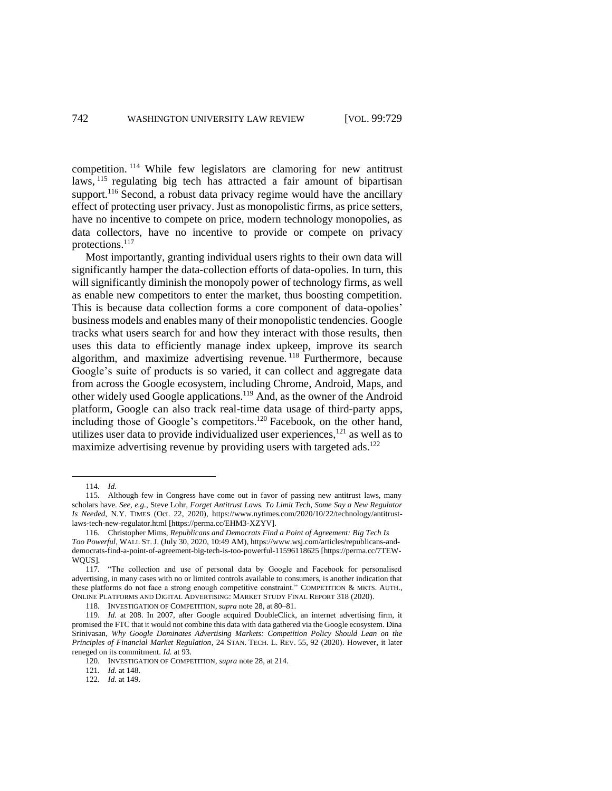competition. <sup>114</sup> While few legislators are clamoring for new antitrust laws, <sup>115</sup> regulating big tech has attracted a fair amount of bipartisan support.<sup>116</sup> Second, a robust data privacy regime would have the ancillary effect of protecting user privacy. Just as monopolistic firms, as price setters, have no incentive to compete on price, modern technology monopolies, as data collectors, have no incentive to provide or compete on privacy protections. 117

Most importantly, granting individual users rights to their own data will significantly hamper the data-collection efforts of data-opolies. In turn, this will significantly diminish the monopoly power of technology firms, as well as enable new competitors to enter the market, thus boosting competition. This is because data collection forms a core component of data-opolies' business models and enables many of their monopolistic tendencies. Google tracks what users search for and how they interact with those results, then uses this data to efficiently manage index upkeep, improve its search algorithm, and maximize advertising revenue. <sup>118</sup> Furthermore, because Google's suite of products is so varied, it can collect and aggregate data from across the Google ecosystem, including Chrome, Android, Maps, and other widely used Google applications.<sup>119</sup> And, as the owner of the Android platform, Google can also track real-time data usage of third-party apps, including those of Google's competitors.<sup>120</sup> Facebook, on the other hand, utilizes user data to provide individualized user experiences, <sup>121</sup> as well as to maximize advertising revenue by providing users with targeted ads.<sup>122</sup>

118. INVESTIGATION OF COMPETITION, *supra* note 28, at 80–81.

<sup>114.</sup> *Id.*

<sup>115.</sup> Although few in Congress have come out in favor of passing new antitrust laws, many scholars have. *See, e.g.*, Steve Lohr, *Forget Antitrust Laws. To Limit Tech, Some Say a New Regulator Is Needed*, N.Y. TIMES (Oct. 22, 2020), https://www.nytimes.com/2020/10/22/technology/antitrustlaws-tech-new-regulator.html [https://perma.cc/EHM3-XZYV].

<sup>116.</sup> Christopher Mims, *Republicans and Democrats Find a Point of Agreement: Big Tech Is Too Powerful*, WALL ST.J. (July 30, 2020, 10:49 AM), https://www.wsj.com/articles/republicans-anddemocrats-find-a-point-of-agreement-big-tech-is-too-powerful-11596118625 [https://perma.cc/7TEW-WOUS1.

<sup>117.</sup> "The collection and use of personal data by Google and Facebook for personalised advertising, in many cases with no or limited controls available to consumers, is another indication that these platforms do not face a strong enough competitive constraint." COMPETITION & MKTS. AUTH., ONLINE PLATFORMS AND DIGITAL ADVERTISING: MARKET STUDY FINAL REPORT 318 (2020).

<sup>119.</sup> *Id.* at 208. In 2007, after Google acquired DoubleClick, an internet advertising firm, it promised the FTC that it would not combine this data with data gathered via the Google ecosystem. Dina Srinivasan, *Why Google Dominates Advertising Markets: Competition Policy Should Lean on the Principles of Financial Market Regulation*, 24 STAN. TECH. L. REV. 55, 92 (2020). However, it later reneged on its commitment. *Id.* at 93.

<sup>120.</sup> INVESTIGATION OF COMPETITION, *supra* note 28, at 214.

<sup>121.</sup> *Id.* at 148.

<sup>122.</sup> *Id.* at 149.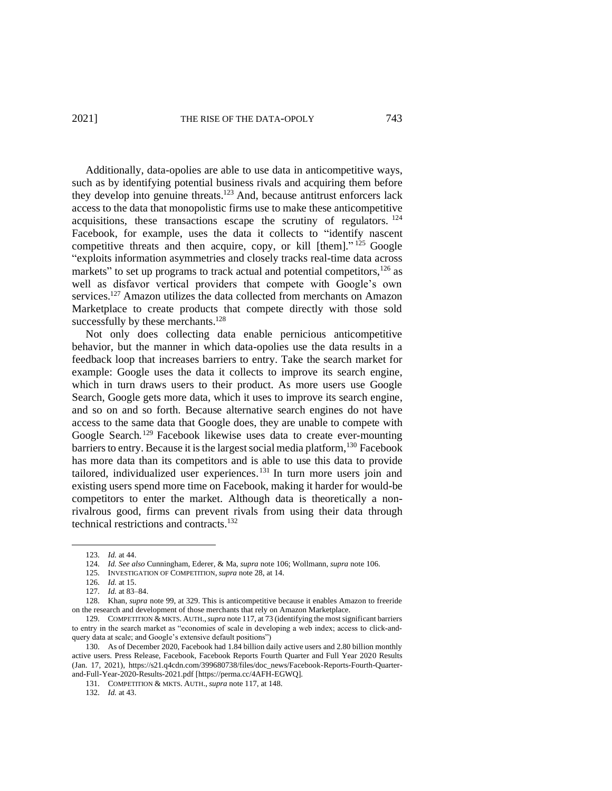Additionally, data-opolies are able to use data in anticompetitive ways, such as by identifying potential business rivals and acquiring them before they develop into genuine threats.<sup>123</sup> And, because antitrust enforcers lack access to the data that monopolistic firms use to make these anticompetitive acquisitions, these transactions escape the scrutiny of regulators.  $124$ Facebook, for example, uses the data it collects to "identify nascent competitive threats and then acquire, copy, or kill [them]."<sup>125</sup> Google "exploits information asymmetries and closely tracks real-time data across markets" to set up programs to track actual and potential competitors,  $126$  as well as disfavor vertical providers that compete with Google's own services.<sup>127</sup> Amazon utilizes the data collected from merchants on Amazon Marketplace to create products that compete directly with those sold successfully by these merchants. $128$ 

Not only does collecting data enable pernicious anticompetitive behavior, but the manner in which data-opolies use the data results in a feedback loop that increases barriers to entry. Take the search market for example: Google uses the data it collects to improve its search engine, which in turn draws users to their product. As more users use Google Search, Google gets more data, which it uses to improve its search engine, and so on and so forth. Because alternative search engines do not have access to the same data that Google does, they are unable to compete with Google Search.<sup>129</sup> Facebook likewise uses data to create ever-mounting barriers to entry. Because it is the largest social media platform,<sup>130</sup> Facebook has more data than its competitors and is able to use this data to provide tailored, individualized user experiences. <sup>131</sup> In turn more users join and existing users spend more time on Facebook, making it harder for would-be competitors to enter the market. Although data is theoretically a nonrivalrous good, firms can prevent rivals from using their data through technical restrictions and contracts.<sup>132</sup>

132. *Id.* at 43.

<sup>123.</sup> *Id.* at 44.

<sup>124.</sup> *Id. See also* Cunningham, Ederer, & Ma, *supra* note 106; Wollmann, *supra* note 106.

<sup>125.</sup> INVESTIGATION OF COMPETITION, *supra* note 28, at 14.

<sup>126.</sup> *Id.* at 15.

<sup>127.</sup> *Id.* at 83–84.

<sup>128.</sup> Khan, *supra* note 99, at 329. This is anticompetitive because it enables Amazon to freeride on the research and development of those merchants that rely on Amazon Marketplace.

<sup>129.</sup> COMPETITION & MKTS. AUTH.,*supra* note 117, at 73 (identifying the most significant barriers to entry in the search market as "economies of scale in developing a web index; access to click-andquery data at scale; and Google's extensive default positions")

<sup>130.</sup> As of December 2020, Facebook had 1.84 billion daily active users and 2.80 billion monthly active users. Press Release, Facebook, Facebook Reports Fourth Quarter and Full Year 2020 Results (Jan. 17, 2021), https://s21.q4cdn.com/399680738/files/doc\_news/Facebook-Reports-Fourth-Quarterand-Full-Year-2020-Results-2021.pdf [https://perma.cc/4AFH-EGWQ].

<sup>131.</sup> COMPETITION & MKTS. AUTH., *supra* note 117, at 148.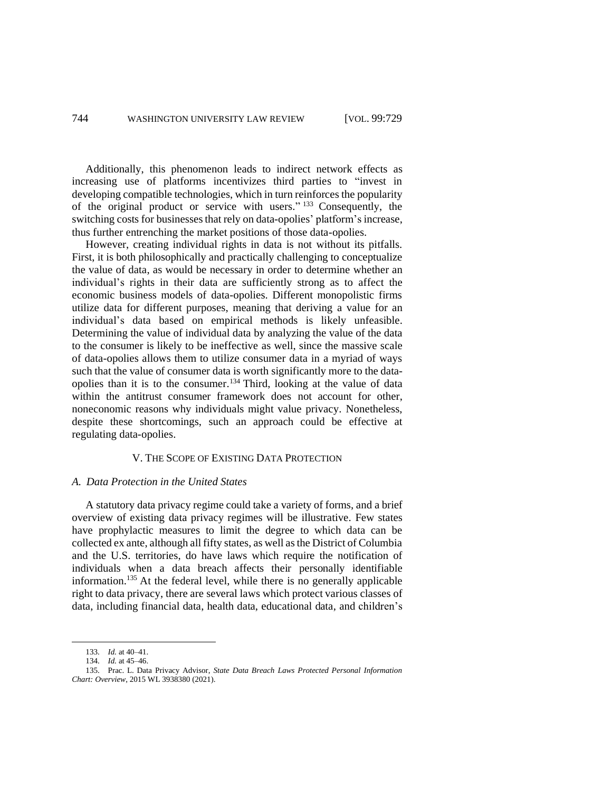Additionally, this phenomenon leads to indirect network effects as increasing use of platforms incentivizes third parties to "invest in developing compatible technologies, which in turn reinforces the popularity of the original product or service with users."<sup>133</sup> Consequently, the switching costs for businesses that rely on data-opolies' platform's increase, thus further entrenching the market positions of those data-opolies.

However, creating individual rights in data is not without its pitfalls. First, it is both philosophically and practically challenging to conceptualize the value of data, as would be necessary in order to determine whether an individual's rights in their data are sufficiently strong as to affect the economic business models of data-opolies. Different monopolistic firms utilize data for different purposes, meaning that deriving a value for an individual's data based on empirical methods is likely unfeasible. Determining the value of individual data by analyzing the value of the data to the consumer is likely to be ineffective as well, since the massive scale of data-opolies allows them to utilize consumer data in a myriad of ways such that the value of consumer data is worth significantly more to the dataopolies than it is to the consumer.<sup>134</sup> Third, looking at the value of data within the antitrust consumer framework does not account for other, noneconomic reasons why individuals might value privacy. Nonetheless, despite these shortcomings, such an approach could be effective at regulating data-opolies.

## V. THE SCOPE OF EXISTING DATA PROTECTION

#### *A. Data Protection in the United States*

A statutory data privacy regime could take a variety of forms, and a brief overview of existing data privacy regimes will be illustrative. Few states have prophylactic measures to limit the degree to which data can be collected ex ante, although all fifty states, as well as the District of Columbia and the U.S. territories, do have laws which require the notification of individuals when a data breach affects their personally identifiable information. <sup>135</sup> At the federal level, while there is no generally applicable right to data privacy, there are several laws which protect various classes of data, including financial data, health data, educational data, and children's

<sup>133.</sup> *Id.* at 40–41.

<sup>134.</sup> *Id.* at 45–46.

<sup>135.</sup> Prac. L. Data Privacy Advisor, *State Data Breach Laws Protected Personal Information Chart: Overview*, 2015 WL 3938380 (2021).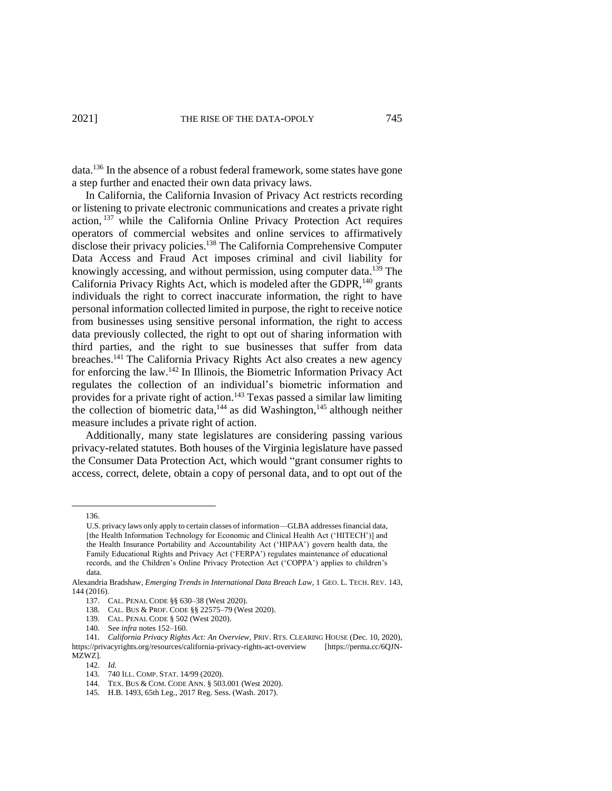data.<sup>136</sup> In the absence of a robust federal framework, some states have gone a step further and enacted their own data privacy laws.

In California, the California Invasion of Privacy Act restricts recording or listening to private electronic communications and creates a private right action, <sup>137</sup> while the California Online Privacy Protection Act requires operators of commercial websites and online services to affirmatively disclose their privacy policies.<sup>138</sup> The California Comprehensive Computer Data Access and Fraud Act imposes criminal and civil liability for knowingly accessing, and without permission, using computer data.<sup>139</sup> The California Privacy Rights Act, which is modeled after the GDPR,<sup>140</sup> grants individuals the right to correct inaccurate information, the right to have personal information collected limited in purpose, the right to receive notice from businesses using sensitive personal information, the right to access data previously collected, the right to opt out of sharing information with third parties, and the right to sue businesses that suffer from data breaches.<sup>141</sup> The California Privacy Rights Act also creates a new agency for enforcing the law.<sup>142</sup> In Illinois, the Biometric Information Privacy Act regulates the collection of an individual's biometric information and provides for a private right of action.<sup>143</sup> Texas passed a similar law limiting the collection of biometric data, $144$  as did Washington, $145$  although neither measure includes a private right of action.

Additionally, many state legislatures are considering passing various privacy-related statutes. Both houses of the Virginia legislature have passed the Consumer Data Protection Act, which would "grant consumer rights to access, correct, delete, obtain a copy of personal data, and to opt out of the

136.

142. *Id.*

U.S. privacy laws only apply to certain classes of information—GLBA addresses financial data, [the Health Information Technology for Economic and Clinical Health Act ('HITECH')] and the Health Insurance Portability and Accountability Act ('HIPAA') govern health data, the Family Educational Rights and Privacy Act ('FERPA') regulates maintenance of educational records, and the Children's Online Privacy Protection Act ('COPPA') applies to children's data.

Alexandria Bradshaw, *Emerging Trends in International Data Breach Law*, 1 GEO. L. TECH. REV. 143, 144 (2016).

<sup>137.</sup> CAL. PENAL CODE §§ 630–38 (West 2020).

<sup>138.</sup> CAL. BUS & PROF. CODE §§ 22575–79 (West 2020).

<sup>139.</sup> CAL. PENAL CODE § 502 (West 2020).

<sup>140.</sup> See *infra* notes 152–160.

<sup>141.</sup> *California Privacy Rights Act: An Overview*, PRIV. RTS. CLEARING HOUSE (Dec. 10, 2020), https://privacyrights.org/resources/california-privacy-rights-act-overview [https://perma.cc/6QJN-MZWZ].

<sup>143.</sup> 740 ILL. COMP. STAT. 14/99 (2020).

<sup>144.</sup> TEX. BUS & COM. CODE ANN. § 503.001 (West 2020).

<sup>145.</sup> H.B. 1493, 65th Leg., 2017 Reg. Sess. (Wash. 2017).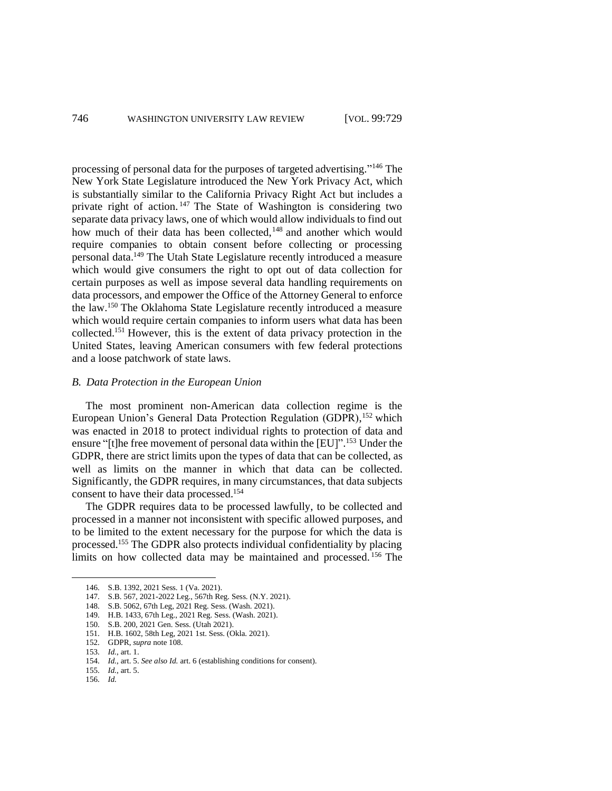processing of personal data for the purposes of targeted advertising." <sup>146</sup> The New York State Legislature introduced the New York Privacy Act, which is substantially similar to the California Privacy Right Act but includes a private right of action. <sup>147</sup> The State of Washington is considering two separate data privacy laws, one of which would allow individuals to find out how much of their data has been collected,<sup>148</sup> and another which would require companies to obtain consent before collecting or processing personal data.<sup>149</sup> The Utah State Legislature recently introduced a measure which would give consumers the right to opt out of data collection for certain purposes as well as impose several data handling requirements on data processors, and empower the Office of the Attorney General to enforce the law.<sup>150</sup> The Oklahoma State Legislature recently introduced a measure which would require certain companies to inform users what data has been collected.<sup>151</sup> However, this is the extent of data privacy protection in the United States, leaving American consumers with few federal protections and a loose patchwork of state laws.

## *B. Data Protection in the European Union*

The most prominent non-American data collection regime is the European Union's General Data Protection Regulation (GDPR), <sup>152</sup> which was enacted in 2018 to protect individual rights to protection of data and ensure "[t]he free movement of personal data within the [EU]".<sup>153</sup> Under the GDPR, there are strict limits upon the types of data that can be collected, as well as limits on the manner in which that data can be collected. Significantly, the GDPR requires, in many circumstances, that data subjects consent to have their data processed. 154

The GDPR requires data to be processed lawfully, to be collected and processed in a manner not inconsistent with specific allowed purposes, and to be limited to the extent necessary for the purpose for which the data is processed.<sup>155</sup> The GDPR also protects individual confidentiality by placing limits on how collected data may be maintained and processed. <sup>156</sup> The

<sup>146.</sup> S.B. 1392, 2021 Sess. 1 (Va. 2021).

<sup>147.</sup> S.B. 567, 2021-2022 Leg., 567th Reg. Sess. (N.Y. 2021).

<sup>148.</sup> S.B. 5062, 67th Leg, 2021 Reg. Sess. (Wash. 2021).

<sup>149.</sup> H.B. 1433, 67th Leg., 2021 Reg. Sess. (Wash. 2021).

<sup>150.</sup> S.B. 200, 2021 Gen. Sess. (Utah 2021).

<sup>151.</sup> H.B. 1602, 58th Leg, 2021 1st. Sess. (Okla. 2021).

<sup>152.</sup> GDPR, *supra* note 108.

<sup>153.</sup> *Id.*, art. 1.

<sup>154.</sup> *Id.*, art. 5. *See also Id.* art. 6 (establishing conditions for consent).

<sup>155.</sup> *Id.*, art. 5.

<sup>156.</sup> *Id.*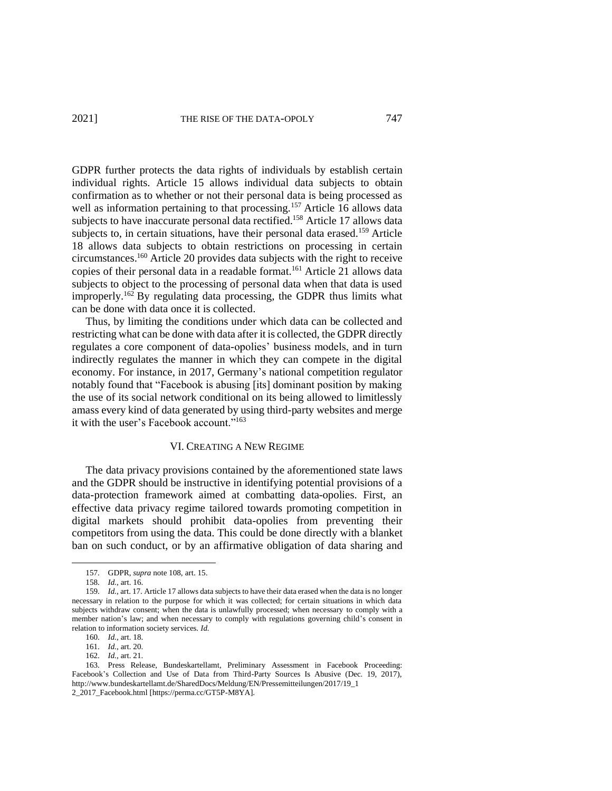GDPR further protects the data rights of individuals by establish certain individual rights. Article 15 allows individual data subjects to obtain confirmation as to whether or not their personal data is being processed as well as information pertaining to that processing.<sup>157</sup> Article 16 allows data subjects to have inaccurate personal data rectified.<sup>158</sup> Article 17 allows data subjects to, in certain situations, have their personal data erased.<sup>159</sup> Article 18 allows data subjects to obtain restrictions on processing in certain circumstances.<sup>160</sup> Article 20 provides data subjects with the right to receive copies of their personal data in a readable format.<sup>161</sup> Article 21 allows data subjects to object to the processing of personal data when that data is used improperly.<sup>162</sup> By regulating data processing, the GDPR thus limits what can be done with data once it is collected.

Thus, by limiting the conditions under which data can be collected and restricting what can be done with data after it is collected, the GDPR directly regulates a core component of data-opolies' business models, and in turn indirectly regulates the manner in which they can compete in the digital economy. For instance, in 2017, Germany's national competition regulator notably found that "Facebook is abusing [its] dominant position by making the use of its social network conditional on its being allowed to limitlessly amass every kind of data generated by using third-party websites and merge it with the user's Facebook account."<sup>163</sup>

## VI. CREATING A NEW REGIME

The data privacy provisions contained by the aforementioned state laws and the GDPR should be instructive in identifying potential provisions of a data-protection framework aimed at combatting data-opolies. First, an effective data privacy regime tailored towards promoting competition in digital markets should prohibit data-opolies from preventing their competitors from using the data. This could be done directly with a blanket ban on such conduct, or by an affirmative obligation of data sharing and

<sup>157.</sup> GDPR, *supra* note 108, art. 15.

<sup>158.</sup> *Id.*, art. 16.

<sup>159.</sup> *Id.*, art. 17. Article 17 allows data subjects to have their data erased when the data is no longer necessary in relation to the purpose for which it was collected; for certain situations in which data subjects withdraw consent; when the data is unlawfully processed; when necessary to comply with a member nation's law; and when necessary to comply with regulations governing child's consent in relation to information society services. *Id.*

<sup>160.</sup> *Id.*, art. 18.

<sup>161.</sup> *Id.*, art. 20.

<sup>162.</sup> *Id.*, art. 21.

<sup>163.</sup> Press Release, Bundeskartellamt, Preliminary Assessment in Facebook Proceeding: Facebook's Collection and Use of Data from Third-Party Sources Is Abusive (Dec. 19, 2017), http://www.bundeskartellamt.de/SharedDocs/Meldung/EN/Pressemitteilungen/2017/19\_1 2\_2017\_Facebook.html [https://perma.cc/GT5P-M8YA].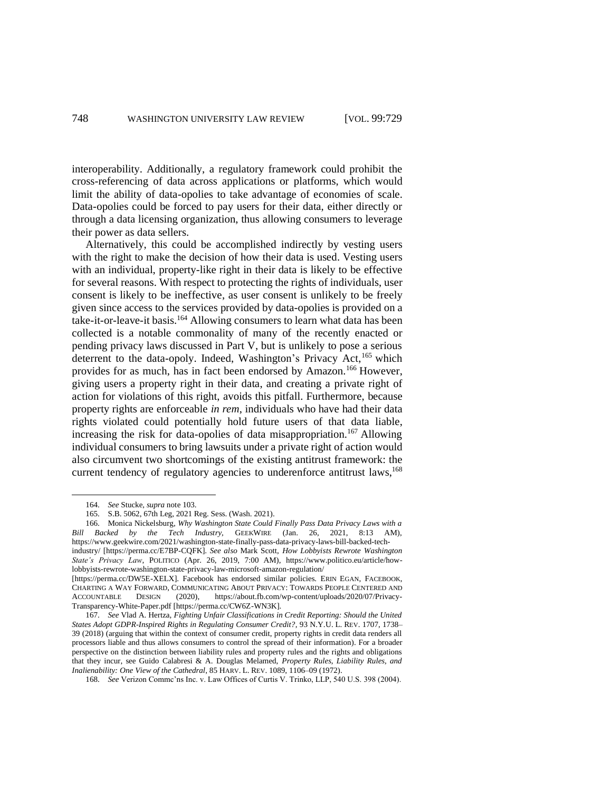interoperability. Additionally, a regulatory framework could prohibit the cross-referencing of data across applications or platforms, which would limit the ability of data-opolies to take advantage of economies of scale. Data-opolies could be forced to pay users for their data, either directly or through a data licensing organization, thus allowing consumers to leverage their power as data sellers.

Alternatively, this could be accomplished indirectly by vesting users with the right to make the decision of how their data is used. Vesting users with an individual, property-like right in their data is likely to be effective for several reasons. With respect to protecting the rights of individuals, user consent is likely to be ineffective, as user consent is unlikely to be freely given since access to the services provided by data-opolies is provided on a take-it-or-leave-it basis. <sup>164</sup> Allowing consumers to learn what data has been collected is a notable commonality of many of the recently enacted or pending privacy laws discussed in Part V, but is unlikely to pose a serious deterrent to the data-opoly. Indeed, Washington's Privacy Act,<sup>165</sup> which provides for as much, has in fact been endorsed by Amazon.<sup>166</sup> However, giving users a property right in their data, and creating a private right of action for violations of this right, avoids this pitfall. Furthermore, because property rights are enforceable *in rem*, individuals who have had their data rights violated could potentially hold future users of that data liable, increasing the risk for data-opolies of data misappropriation.<sup>167</sup> Allowing individual consumers to bring lawsuits under a private right of action would also circumvent two shortcomings of the existing antitrust framework: the current tendency of regulatory agencies to underenforce antitrust laws,<sup>168</sup>

<sup>164.</sup> *See* Stucke, *supra* note 103.

<sup>165.</sup> S.B. 5062, 67th Leg, 2021 Reg. Sess. (Wash. 2021).

<sup>166.</sup> Monica Nickelsburg, *Why Washington State Could Finally Pass Data Privacy Laws with a Bill Backed by the Tech Industry,* GEEKWIRE (Jan. 26, 2021, 8:13 AM), https://www.geekwire.com/2021/washington-state-finally-pass-data-privacy-laws-bill-backed-techindustry/ [https://perma.cc/E7BP-CQFK]. *See also* Mark Scott, *How Lobbyists Rewrote Washington State's Privacy Law*, POLITICO (Apr. 26, 2019, 7:00 AM), https://www.politico.eu/article/howlobbyists-rewrote-washington-state-privacy-law-microsoft-amazon-regulation/

<sup>[</sup>https://perma.cc/DW5E-XELX]. Facebook has endorsed similar policies. ERIN EGAN, FACEBOOK, CHARTING A WAY FORWARD, COMMUNICATING ABOUT PRIVACY: TOWARDS PEOPLE CENTERED AND ACCOUNTABLE DESIGN (2020), https://about.fb.com/wp-content/uploads/2020/07/Privacy-Transparency-White-Paper.pdf [https://perma.cc/CW6Z-WN3K].

<sup>167.</sup> *See* Vlad A. Hertza, *Fighting Unfair Classifications in Credit Reporting: Should the United States Adopt GDPR-Inspired Rights in Regulating Consumer Credit?*, 93 N.Y.U. L. REV. 1707, 1738– 39 (2018) (arguing that within the context of consumer credit, property rights in credit data renders all processors liable and thus allows consumers to control the spread of their information). For a broader perspective on the distinction between liability rules and property rules and the rights and obligations that they incur, see Guido Calabresi & A. Douglas Melamed, *Property Rules, Liability Rules, and Inalienability: One View of the Cathedral*, 85 HARV. L. REV. 1089, 1106–09 (1972).

<sup>168.</sup> *See* Verizon Commc'ns Inc. v. Law Offices of Curtis V. Trinko, LLP, 540 U.S. 398 (2004).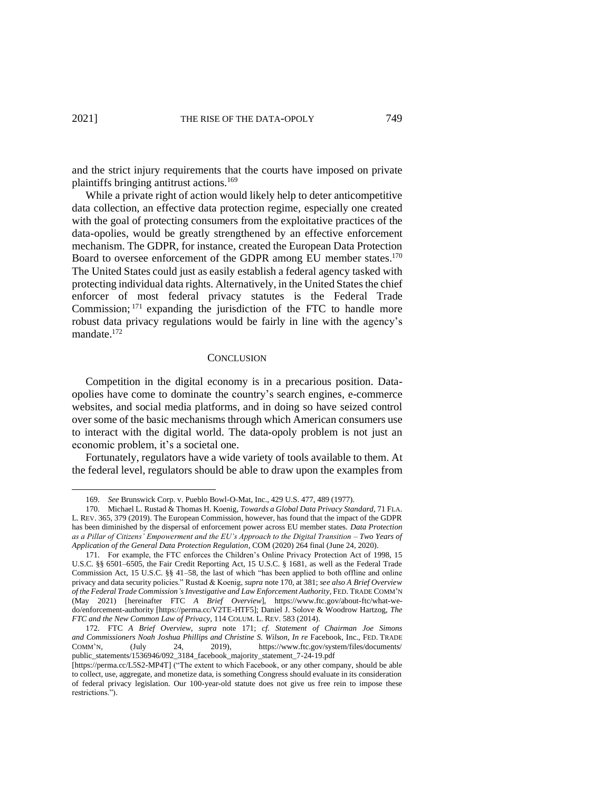and the strict injury requirements that the courts have imposed on private plaintiffs bringing antitrust actions.<sup>169</sup>

While a private right of action would likely help to deter anticompetitive data collection, an effective data protection regime, especially one created with the goal of protecting consumers from the exploitative practices of the data-opolies, would be greatly strengthened by an effective enforcement mechanism. The GDPR, for instance, created the European Data Protection Board to oversee enforcement of the GDPR among EU member states.<sup>170</sup> The United States could just as easily establish a federal agency tasked with protecting individual data rights. Alternatively, in the United States the chief enforcer of most federal privacy statutes is the Federal Trade Commission; <sup>171</sup> expanding the jurisdiction of the FTC to handle more robust data privacy regulations would be fairly in line with the agency's mandate.<sup>172</sup>

#### **CONCLUSION**

Competition in the digital economy is in a precarious position. Dataopolies have come to dominate the country's search engines, e-commerce websites, and social media platforms, and in doing so have seized control over some of the basic mechanisms through which American consumers use to interact with the digital world. The data-opoly problem is not just an economic problem, it's a societal one.

Fortunately, regulators have a wide variety of tools available to them. At the federal level, regulators should be able to draw upon the examples from

<sup>169.</sup> *See* Brunswick Corp. v. Pueblo Bowl-O-Mat, Inc., 429 U.S. 477, 489 (1977).

<sup>170.</sup> Michael L. Rustad & Thomas H. Koenig, *Towards a Global Data Privacy Standard*, 71 FLA. L. REV. 365, 379 (2019). The European Commission, however, has found that the impact of the GDPR has been diminished by the dispersal of enforcement power across EU member states. *Data Protection as a Pillar of Citizens' Empowerment and the EU's Approach to the Digital Transition – Two Years of Application of the General Data Protection Regulation*, COM (2020) 264 final (June 24, 2020).

<sup>171.</sup> For example, the FTC enforces the Children's Online Privacy Protection Act of 1998, 15 U.S.C. §§ 6501–6505, the Fair Credit Reporting Act, 15 U.S.C. § 1681, as well as the Federal Trade Commission Act, 15 U.S.C. §§ 41–58, the last of which "has been applied to both offline and online privacy and data security policies." Rustad & Koenig, *supra* note 170, at 381; *see also A Brief Overview of the Federal Trade Commission's Investigative and Law Enforcement Authority*, FED. TRADE COMM'N (May 2021) [hereinafter FTC *A Brief Overview*], https://www.ftc.gov/about-ftc/what-wedo/enforcement-authority [https://perma.cc/V2TE-HTF5]; Daniel J. Solove & Woodrow Hartzog, *The FTC and the New Common Law of Privacy*, 114 COLUM. L. REV. 583 (2014).

<sup>172.</sup> FTC *A Brief Overview*, *supra* note 171; *cf. Statement of Chairman Joe Simons and Commissioners Noah Joshua Phillips and Christine S. Wilson*, *In re* Facebook, Inc., FED. TRADE COMM'N, (July 24, 2019), https://www.ftc.gov/system/files/documents/ public\_statements/1536946/092\_3184\_facebook\_majority\_statement\_7-24-19.pdf

<sup>[</sup>https://perma.cc/L5S2-MP4T] ("The extent to which Facebook, or any other company, should be able to collect, use, aggregate, and monetize data, is something Congress should evaluate in its consideration of federal privacy legislation. Our 100-year-old statute does not give us free rein to impose these restrictions.").